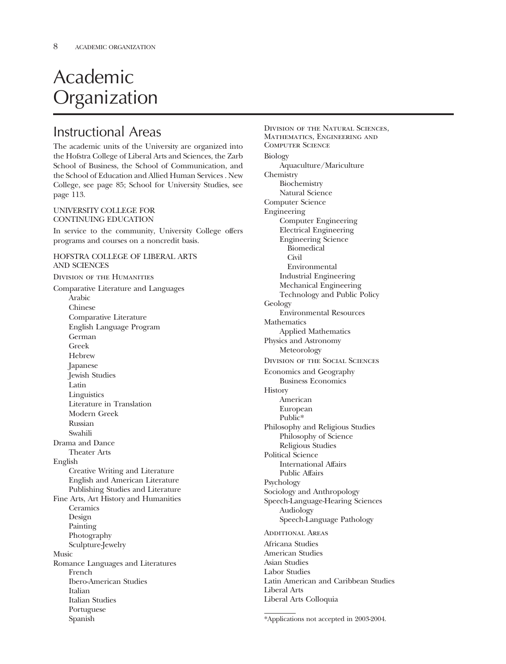# Academic Organization

### Instructional Areas

The academic units of the University are organized into the Hofstra College of Liberal Arts and Sciences, the Zarb School of Business, the School of Communication, and the School of Education and Allied Human Services . New College, see page 85; School for University Studies, see page 113.

### UNIVERSITY COLLEGE FOR CONTINUING EDUCATION

In service to the community, University College offers programs and courses on a noncredit basis.

### HOFSTRA COLLEGE OF LIBERAL ARTS AND SCIENCES

Division of the Humanities Comparative Literature and Languages Arabic Chinese Comparative Literature English Language Program German Greek Hebrew Japanese Jewish Studies Latin **Linguistics** Literature in Translation Modern Greek Russian Swahili Drama and Dance Theater Arts English Creative Writing and Literature English and American Literature Publishing Studies and Literature Fine Arts, Art History and Humanities **Ceramics** Design Painting Photography Sculpture-Jewelry Music Romance Languages and Literatures French Ibero-American Studies Italian Italian Studies Portuguese Spanish

Division of the Natural Sciences, Mathematics, Engineering and Computer Science Biology Aquaculture/Mariculture Chemistry Biochemistry Natural Science Computer Science Engineering Computer Engineering Electrical Engineering Engineering Science Biomedical Civil Environmental Industrial Engineering Mechanical Engineering Technology and Public Policy Geology Environmental Resources **Mathematics** Applied Mathematics Physics and Astronomy Meteorology Division of the Social Sciences Economics and Geography Business Economics **History** American European Public\* Philosophy and Religious Studies Philosophy of Science Religious Studies Political Science International Affairs Public Affairs Psychology Sociology and Anthropology Speech-Language-Hearing Sciences Audiology Speech-Language Pathology Additional Areas Africana Studies American Studies Asian Studies Labor Studies Latin American and Caribbean Studies

Liberal Arts

Liberal Arts Colloquia

<sup>\*</sup>Applications not accepted in 2003-2004.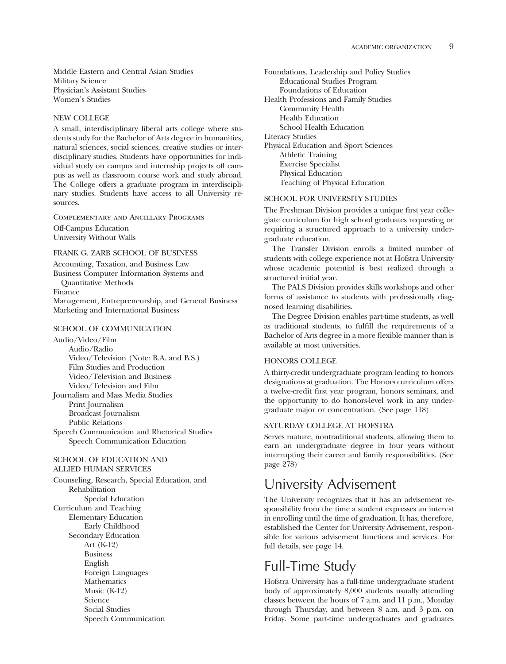Middle Eastern and Central Asian Studies Military Science Physician's Assistant Studies Women's Studies

#### NEW COLLEGE

A small, interdisciplinary liberal arts college where students study for the Bachelor of Arts degree in humanities, natural sciences, social sciences, creative studies or interdisciplinary studies. Students have opportunities for individual study on campus and internship projects off campus as well as classroom course work and study abroad. The College offers a graduate program in interdisciplinary studies. Students have access to all University resources.

Complementary and Ancillary Programs Off-Campus Education University Without Walls

#### FRANK G. ZARB SCHOOL OF BUSINESS

Accounting, Taxation, and Business Law Business Computer Information Systems and Quantitative Methods Finance Management, Entrepreneurship, and General Business

#### SCHOOL OF COMMUNICATION

Marketing and International Business

Audio/Video/Film Audio/Radio Video/Television (Note: B.A. and B.S.) Film Studies and Production Video/Television and Business Video/Television and Film Journalism and Mass Media Studies Print Journalism Broadcast Journalism Public Relations Speech Communication and Rhetorical Studies

Speech Communication Education

### SCHOOL OF EDUCATION AND ALLIED HUMAN SERVICES

Counseling, Research, Special Education, and Rehabilitation Special Education Curriculum and Teaching Elementary Education Early Childhood Secondary Education Art (K-12) Business English Foreign Languages Mathematics Music (K-12) Science Social Studies Speech Communication

Foundations, Leadership and Policy Studies Educational Studies Program Foundations of Education Health Professions and Family Studies Community Health Health Education School Health Education Literacy Studies Physical Education and Sport Sciences Athletic Training Exercise Specialist Physical Education Teaching of Physical Education

#### SCHOOL FOR UNIVERSITY STUDIES

The Freshman Division provides a unique frst year collegiate curriculum for high school graduates requesting or requiring a structured approach to a university undergraduate education.

The Transfer Division enrolls a limited number of students with college experience not at Hofstra University whose academic potential is best realized through a structured initial year.

The PALS Division provides skills workshops and other forms of assistance to students with professionally diagnosed learning disabilities.

The Degree Division enables part-time students, as well as traditional students, to fulfll the requirements of a Bachelor of Arts degree in a more fexible manner than is available at most universities.

### HONORS COLLEGE

A thirty-credit undergraduate program leading to honors designations at graduation. The Honors curriculum offers a twelve-credit frst year program, honors seminars, and the opportunity to do honors-level work in any undergraduate major or concentration. (See page 118)

### SATURDAY COLLEGE AT HOFSTRA

Serves mature, nontraditional students, allowing them to earn an undergraduate degree in four years without interrupting their career and family responsibilities. (See page 278)

### University Advisement

The University recognizes that it has an advisement responsibility from the time a student expresses an interest in enrolling until the time of graduation. It has, therefore, established the Center for University Advisement, responsible for various advisement functions and services. For full details, see page 14.

### Full-Time Study

Hofstra University has a full-time undergraduate student body of approximately 8,000 students usually attending classes between the hours of 7 a.m. and 11 p.m., Monday through Thursday, and between 8 a.m. and 3 p.m. on Friday. Some part-time undergraduates and graduates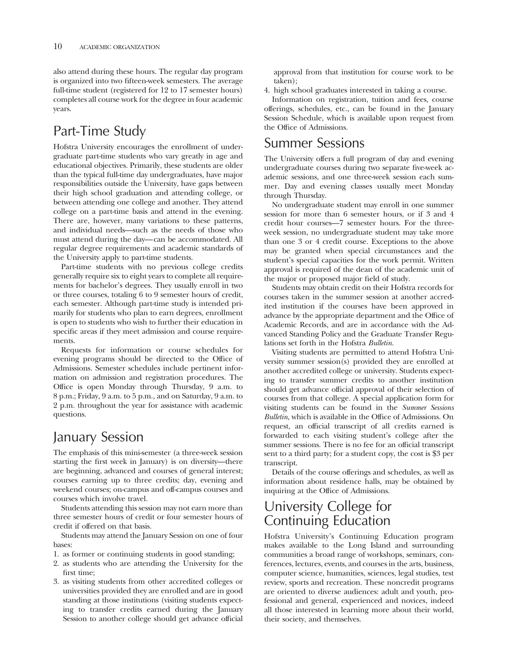also attend during these hours. The regular day program is organized into two ffteen-week semesters. The average full-time student (registered for 12 to 17 semester hours) completes all course work for the degree in four academic years.

## Part-Time Study

Hofstra University encourages the enrollment of undergraduate part-time students who vary greatly in age and educational objectives. Primarily, these students are older than the typical full-time day undergraduates, have major responsibilities outside the University, have gaps between their high school graduation and attending college, or between attending one college and another. They attend college on a part-time basis and attend in the evening. There are, however, many variations to these patterns, and individual needs—such as the needs of those who must attend during the day— can be accommodated. All regular degree requirements and academic standards of the University apply to part-time students.

Part-time students with no previous college credits generally require six to eight years to complete all requirements for bachelor's degrees. They usually enroll in two or three courses, totaling 6 to 9 semester hours of credit, each semester. Although part-time study is intended primarily for students who plan to earn degrees, enrollment is open to students who wish to further their education in specifc areas if they meet admission and course requirements.

Requests for information or course schedules for evening programs should be directed to the Office of Admissions. Semester schedules include pertinent information on admission and registration procedures. The Office is open Monday through Thursday, 9 a.m. to 8 p.m.; Friday, 9 a.m. to 5 p.m., and on Saturday, 9 a.m. to 2 p.m. throughout the year for assistance with academic questions.

# January Session

The emphasis of this mini-semester (a three-week session starting the frst week in January) is on diversity—there are beginning, advanced and courses of general interest; courses earning up to three credits; day, evening and weekend courses; on-campus and off-campus courses and courses which involve travel.

Students attending this session may not earn more than three semester hours of credit or four semester hours of credit if offered on that basis.

Students may attend the January Session on one of four bases:

- 1. as former or continuing students in good standing;
- 2. as students who are attending the University for the frst time;
- 3. as visiting students from other accredited colleges or universities provided they are enrolled and are in good standing at those institutions (visiting students expecting to transfer credits earned during the January Session to another college should get advance official

approval from that institution for course work to be taken);

4. high school graduates interested in taking a course.

Information on registration, tuition and fees, course offerings, schedules, etc., can be found in the January Session Schedule, which is available upon request from the Office of Admissions.

### Summer Sessions

The University offers a full program of day and evening undergraduate courses during two separate fve-week academic sessions, and one three-week session each summer. Day and evening classes usually meet Monday through Thursday.

No undergraduate student may enroll in one summer session for more than 6 semester hours, or if 3 and 4 credit hour courses—7 semester hours. For the threeweek session, no undergraduate student may take more than one 3 or 4 credit course. Exceptions to the above may be granted when special circumstances and the student's special capacities for the work permit. Written approval is required of the dean of the academic unit of the major or proposed major feld of study.

Students may obtain credit on their Hofstra records for courses taken in the summer session at another accredited institution if the courses have been approved in advance by the appropriate department and the Office of Academic Records, and are in accordance with the Advanced Standing Policy and the Graduate Transfer Regulations set forth in the Hofstra *Bulletin.* 

Visiting students are permitted to attend Hofstra University summer session(s) provided they are enrolled at another accredited college or university. Students expecting to transfer summer credits to another institution should get advance official approval of their selection of courses from that college. A special application form for visiting students can be found in the *Summer Sessions Bulletin*, which is available in the Office of Admissions. On request, an official transcript of all credits earned is forwarded to each visiting student's college after the summer sessions. There is no fee for an official transcript sent to a third party; for a student copy, the cost is \$3 per transcript.

Details of the course offerings and schedules, as well as information about residence halls, may be obtained by inquiring at the Office of Admissions.

### University College for Continuing Education

Hofstra University's Continuing Education program makes available to the Long Island and surrounding communities a broad range of workshops, seminars, conferences, lectures, events, and courses in the arts, business, computer science, humanities, sciences, legal studies, test review, sports and recreation. These noncredit programs are oriented to diverse audiences: adult and youth, professional and general, experienced and novices, indeed all those interested in learning more about their world, their society, and themselves.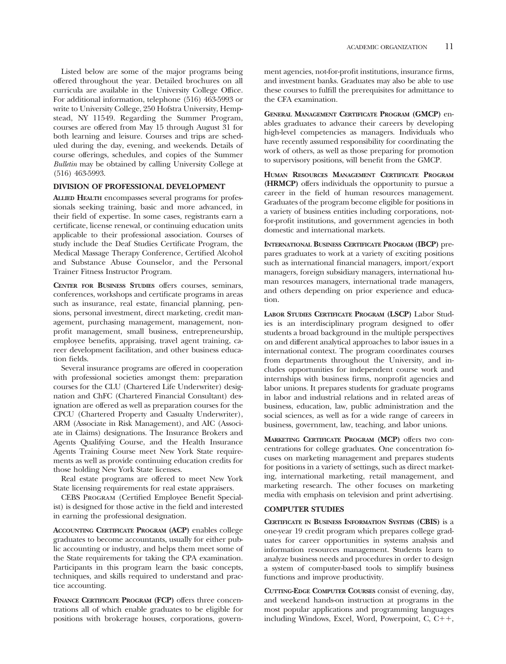Listed below are some of the major programs being offered throughout the year. Detailed brochures on all curricula are available in the University College Office. For additional information, telephone (516) 463-5993 or write to University College, 250 Hofstra University, Hempstead, NY 11549. Regarding the Summer Program, courses are offered from May 15 through August 31 for both learning and leisure. Courses and trips are scheduled during the day, evening, and weekends. Details of course offerings, schedules, and copies of the Summer *Bulletin* may be obtained by calling University College at (516) 463-5993.

#### **DIVISION OF PROFESSIONAL DEVELOPMENT**

**ALLIED HEALTH** encompasses several programs for professionals seeking training, basic and more advanced, in their feld of expertise. In some cases, registrants earn a certifcate, license renewal, or continuing education units applicable to their professional association. Courses of study include the Deaf Studies Certifcate Program, the Medical Massage Therapy Conference, Certifed Alcohol and Substance Abuse Counselor, and the Personal Trainer Fitness Instructor Program.

**CENTER FOR BUSINESS STUDIES** offers courses, seminars, conferences, workshops and certifcate programs in areas such as insurance, real estate, fnancial planning, pensions, personal investment, direct marketing, credit management, purchasing management, management, nonproft management, small business, entrepreneurship, employee benefts, appraising, travel agent training, career development facilitation, and other business education felds.

Several insurance programs are offered in cooperation with professional societies amongst them: preparation courses for the CLU (Chartered Life Underwriter) designation and ChFC (Chartered Financial Consultant) designation are offered as well as preparation courses for the CPCU (Chartered Property and Casualty Underwriter), ARM (Associate in Risk Management), and AIC (Associate in Claims) designations. The Insurance Brokers and Agents Qualifying Course, and the Health Insurance Agents Training Course meet New York State requirements as well as provide continuing education credits for those holding New York State licenses.

Real estate programs are offered to meet New York State licensing requirements for real estate appraisers.

CEBS Program (Certifed Employee Beneft Specialist) is designed for those active in the feld and interested in earning the professional designation.

**ACCOUNTING CERTIFICATE PROGRAM (ACP)** enables college graduates to become accountants, usually for either public accounting or industry, and helps them meet some of the State requirements for taking the CPA examination. Participants in this program learn the basic concepts, techniques, and skills required to understand and practice accounting.

**FINANCE CERTIFICATE PROGRAM (FCP)** offers three concentrations all of which enable graduates to be eligible for positions with brokerage houses, corporations, government agencies, not-for-proft institutions, insurance frms, and investment banks. Graduates may also be able to use these courses to fulfll the prerequisites for admittance to the CFA examination.

**GENERAL MANAGEMENT CERTIFICATE PROGRAM (GMCP)** enables graduates to advance their careers by developing high-level competencies as managers. Individuals who have recently assumed responsibility for coordinating the work of others, as well as those preparing for promotion to supervisory positions, will beneft from the GMCP.

**HUMAN RESOURCES MANAGEMENT CERTIFICATE PROGRAM (HRMCP)** offers individuals the opportunity to pursue a career in the feld of human resources management. Graduates of the program become eligible for positions in a variety of business entities including corporations, notfor-proft institutions, and government agencies in both domestic and international markets.

**INTERNATIONAL BUSINESS CERTIFICATE PROGRAM (IBCP)** prepares graduates to work at a variety of exciting positions such as international fnancial managers, import/export managers, foreign subsidiary managers, international human resources managers, international trade managers, and others depending on prior experience and education.

**LABOR STUDIES CERTIFICATE PROGRAM (LSCP)** Labor Studies is an interdisciplinary program designed to offer students a broad background in the multiple perspectives on and different analytical approaches to labor issues in a international context. The program coordinates courses from departments throughout the University, and includes opportunities for independent course work and internships with business frms, nonproft agencies and labor unions. It prepares students for graduate programs in labor and industrial relations and in related areas of business, education, law, public administration and the social sciences, as well as for a wide range of careers in business, government, law, teaching, and labor unions.

**MARKETING CERTIFICATE PROGRAM (MCP)** offers two concentrations for college graduates. One concentration focuses on marketing management and prepares students for positions in a variety of settings, such as direct marketing, international marketing, retail management, and marketing research. The other focuses on marketing media with emphasis on television and print advertising.

#### **COMPUTER STUDIES**

**CERTIFICATE IN BUSINESS INFORMATION SYSTEMS (CBIS)** is a one-year 19 credit program which prepares college graduates for career opportunities in systems analysis and information resources management. Students learn to analyze business needs and procedures in order to design a system of computer-based tools to simplify business functions and improve productivity.

**CUTTING-EDGE COMPUTER COURSES** consist of evening, day, and weekend hands-on instruction at programs in the most popular applications and programming languages including Windows, Excel, Word, Powerpoint, C,  $C_{+}+$ ,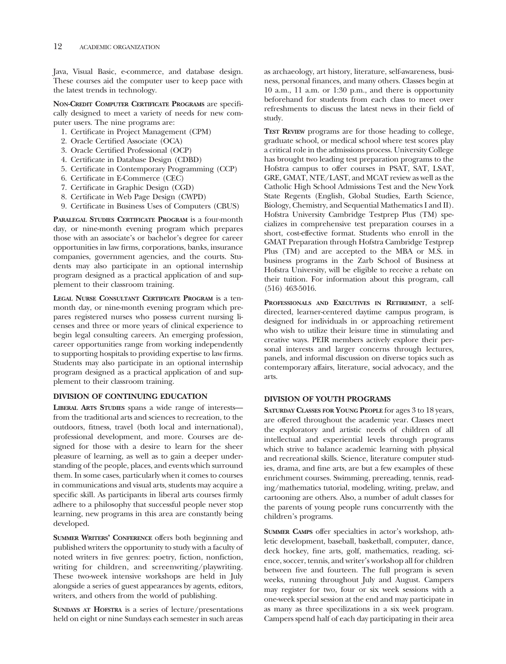Java, Visual Basic, e-commerce, and database design. These courses aid the computer user to keep pace with the latest trends in technology.

**NON-CREDIT COMPUTER CERTIFICATE PROGRAMS** are specifcally designed to meet a variety of needs for new computer users. The nine programs are:

- 1. Certifcate in Project Management (CPM)
- 2. Oracle Certifed Associate (OCA)
- 3. Oracle Certifed Professional (OCP)
- 4. Certifcate in Database Design (CDBD)
- 5. Certifcate in Contemporary Programming (CCP)
- 6. Certifcate in E-Commerce (CEC)
- 7. Certifcate in Graphic Design (CGD)
- 8. Certifcate in Web Page Design (CWPD)
- 9. Certifcate in Business Uses of Computers (CBUS)

**PARALEGAL STUDIES CERTIFICATE PROGRAM** is a four-month day, or nine-month evening program which prepares those with an associate's or bachelor's degree for career opportunities in law frms, corporations, banks, insurance companies, government agencies, and the courts. Students may also participate in an optional internship program designed as a practical application of and supplement to their classroom training.

**LEGAL NURSE CONSULTANT CERTIFICATE PROGRAM** is a tenmonth day, or nine-month evening program which prepares registered nurses who possess current nursing licenses and three or more years of clinical experience to begin legal consulting careers. An emerging profession, career opportunities range from working independently to supporting hospitals to providing expertise to law frms. Students may also participate in an optional internship program designed as a practical application of and supplement to their classroom training.

### **DIVISION OF CONTINUING EDUCATION**

**LIBERAL ARTS STUDIES** spans a wide range of interests from the traditional arts and sciences to recreation, to the outdoors, ftness, travel (both local and international), professional development, and more. Courses are designed for those with a desire to learn for the sheer pleasure of learning, as well as to gain a deeper understanding of the people, places, and events which surround them. In some cases, particularly when it comes to courses in communications and visual arts, students may acquire a specifc skill. As participants in liberal arts courses frmly adhere to a philosophy that successful people never stop learning, new programs in this area are constantly being developed.

**SUMMER WRITERS' CONFERENCE** offers both beginning and published writers the opportunity to study with a faculty of noted writers in fve genres: poetry, fction, nonfction, writing for children, and screenwriting/playwriting. These two-week intensive workshops are held in July alongside a series of guest appearances by agents, editors, writers, and others from the world of publishing.

**SUNDAYS AT HOFSTRA** is a series of lecture/presentations held on eight or nine Sundays each semester in such areas

as archaeology, art history, literature, self-awareness, business, personal fnances, and many others. Classes begin at 10 a.m., 11 a.m. or 1:30 p.m., and there is opportunity beforehand for students from each class to meet over refreshments to discuss the latest news in their feld of study.

**TEST REVIEW** programs are for those heading to college, graduate school, or medical school where test scores play a critical role in the admissions process. University College has brought two leading test preparation programs to the Hofstra campus to offer courses in PSAT, SAT, LSAT, GRE, GMAT, NTE/LAST, and MCAT review as well as the Catholic High School Admissions Test and the New York State Regents (English, Global Studies, Earth Science, Biology, Chemistry, and Sequential Mathematics I and II). Hofstra University Cambridge Testprep Plus (TM) specializes in comprehensive test preparation courses in a short, cost-effective format. Students who enroll in the GMAT Preparation through Hofstra Cambridge Testprep Plus (TM) and are accepted to the MBA or M.S. in business programs in the Zarb School of Business at Hofstra University, will be eligible to receive a rebate on their tuition. For information about this program, call (516) 463-5016.

**PROFESSIONALS AND EXECUTIVES IN RETIREMENT**, a selfdirected, learner-centered daytime campus program, is designed for individuals in or approaching retirement who wish to utilize their leisure time in stimulating and creative ways. PEIR members actively explore their personal interests and larger concerns through lectures, panels, and informal discussion on diverse topics such as contemporary affairs, literature, social advocacy, and the arts.

### **DIVISION OF YOUTH PROGRAMS**

**SATURDAY CLASSES FOR YOUNG PEOPLE** for ages 3 to 18 years, are offered throughout the academic year. Classes meet the exploratory and artistic needs of children of all intellectual and experiential levels through programs which strive to balance academic learning with physical and recreational skills. Science, literature computer studies, drama, and fne arts, are but a few examples of these enrichment courses. Swimming, prereading, tennis, reading/mathematics tutorial, modeling, writing, prelaw, and cartooning are others. Also, a number of adult classes for the parents of young people runs concurrently with the children's programs.

**SUMMER CAMPS** offer specialties in actor's workshop, athletic development, baseball, basketball, computer, dance, deck hockey, fne arts, golf, mathematics, reading, science, soccer, tennis, and writer's workshop all for children between five and fourteen. The full program is seven weeks, running throughout July and August. Campers may register for two, four or six week sessions with a one-week special session at the end and may participate in as many as three specilizations in a six week program. Campers spend half of each day participating in their area